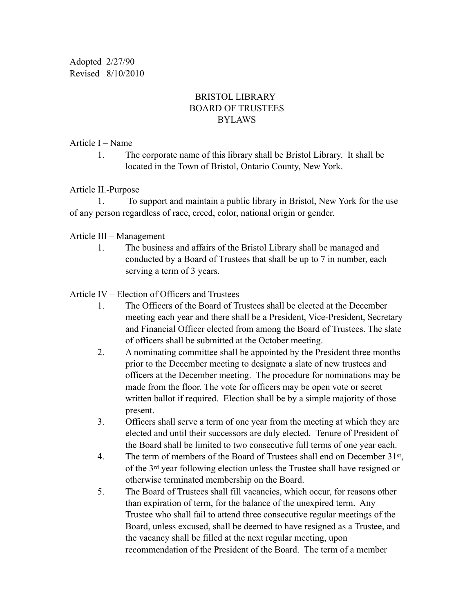Adopted 2/27/90 Revised 8/10/2010

## BRISTOL LIBRARY BOARD OF TRUSTEES BYLAWS

Article I – Name

1. The corporate name of this library shall be Bristol Library. It shall be located in the Town of Bristol, Ontario County, New York.

Article II.-Purpose

 1. To support and maintain a public library in Bristol, New York for the use of any person regardless of race, creed, color, national origin or gender.

Article III – Management

1. The business and affairs of the Bristol Library shall be managed and conducted by a Board of Trustees that shall be up to 7 in number, each serving a term of 3 years.

Article IV – Election of Officers and Trustees

- 1. The Officers of the Board of Trustees shall be elected at the December meeting each year and there shall be a President, Vice-President, Secretary and Financial Officer elected from among the Board of Trustees. The slate of officers shall be submitted at the October meeting.
- 2. A nominating committee shall be appointed by the President three months prior to the December meeting to designate a slate of new trustees and officers at the December meeting. The procedure for nominations may be made from the floor. The vote for officers may be open vote or secret written ballot if required. Election shall be by a simple majority of those present.
- 3. Officers shall serve a term of one year from the meeting at which they are elected and until their successors are duly elected. Tenure of President of the Board shall be limited to two consecutive full terms of one year each.
- 4. The term of members of the Board of Trustees shall end on December 31st, of the 3rd year following election unless the Trustee shall have resigned or otherwise terminated membership on the Board.
- 5. The Board of Trustees shall fill vacancies, which occur, for reasons other than expiration of term, for the balance of the unexpired term. Any Trustee who shall fail to attend three consecutive regular meetings of the Board, unless excused, shall be deemed to have resigned as a Trustee, and the vacancy shall be filled at the next regular meeting, upon recommendation of the President of the Board. The term of a member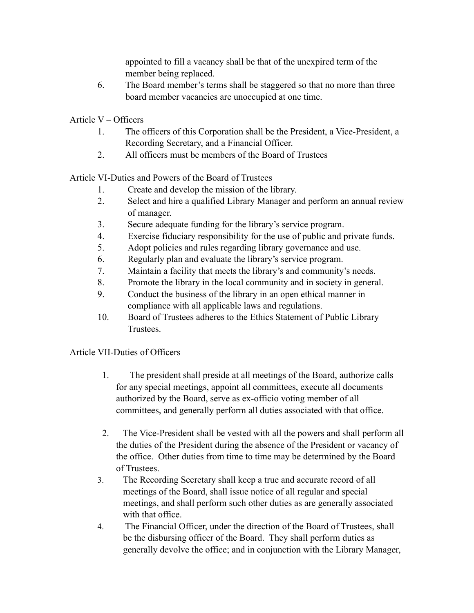appointed to fill a vacancy shall be that of the unexpired term of the member being replaced.

6. The Board member's terms shall be staggered so that no more than three board member vacancies are unoccupied at one time.

Article V – Officers

- 1. The officers of this Corporation shall be the President, a Vice-President, a Recording Secretary, and a Financial Officer.
- 2. All officers must be members of the Board of Trustees

Article VI-Duties and Powers of the Board of Trustees

- 1. Create and develop the mission of the library.
- 2. Select and hire a qualified Library Manager and perform an annual review of manager.
- 3. Secure adequate funding for the library's service program.
- 4. Exercise fiduciary responsibility for the use of public and private funds.
- 5. Adopt policies and rules regarding library governance and use.
- 6. Regularly plan and evaluate the library's service program.
- 7. Maintain a facility that meets the library's and community's needs.
- 8. Promote the library in the local community and in society in general.
- 9. Conduct the business of the library in an open ethical manner in compliance with all applicable laws and regulations.
- 10. Board of Trustees adheres to the Ethics Statement of Public Library Trustees.

#### Article VII-Duties of Officers

- 1. The president shall preside at all meetings of the Board, authorize calls for any special meetings, appoint all committees, execute all documents authorized by the Board, serve as ex-officio voting member of all committees, and generally perform all duties associated with that office.
- 2. The Vice-President shall be vested with all the powers and shall perform all the duties of the President during the absence of the President or vacancy of the office. Other duties from time to time may be determined by the Board of Trustees.
- 3. The Recording Secretary shall keep a true and accurate record of all meetings of the Board, shall issue notice of all regular and special meetings, and shall perform such other duties as are generally associated with that office.
- 4. The Financial Officer, under the direction of the Board of Trustees, shall be the disbursing officer of the Board. They shall perform duties as generally devolve the office; and in conjunction with the Library Manager,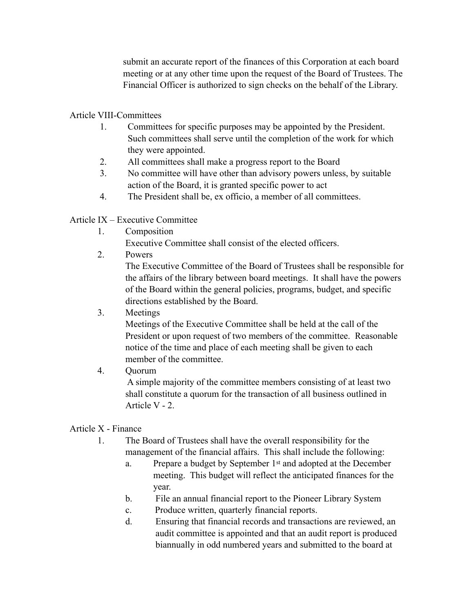submit an accurate report of the finances of this Corporation at each board meeting or at any other time upon the request of the Board of Trustees. The Financial Officer is authorized to sign checks on the behalf of the Library.

Article VIII-Committees

- 1. Committees for specific purposes may be appointed by the President. Such committees shall serve until the completion of the work for which they were appointed.
- 2. All committees shall make a progress report to the Board
- 3. No committee will have other than advisory powers unless, by suitable action of the Board, it is granted specific power to act
- 4. The President shall be, ex officio, a member of all committees.

### Article IX – Executive Committee

1. Composition

Executive Committee shall consist of the elected officers.

2. Powers

The Executive Committee of the Board of Trustees shall be responsible for the affairs of the library between board meetings. It shall have the powers of the Board within the general policies, programs, budget, and specific directions established by the Board.

3. Meetings

Meetings of the Executive Committee shall be held at the call of the President or upon request of two members of the committee. Reasonable notice of the time and place of each meeting shall be given to each member of the committee.

### 4. Quorum

 A simple majority of the committee members consisting of at least two shall constitute a quorum for the transaction of all business outlined in Article V - 2.

# Article X - Finance

- 1. The Board of Trustees shall have the overall responsibility for the management of the financial affairs. This shall include the following:
	- a. Prepare a budget by September 1st and adopted at the December meeting. This budget will reflect the anticipated finances for the year.
	- b. File an annual financial report to the Pioneer Library System
	- c. Produce written, quarterly financial reports.
	- d. Ensuring that financial records and transactions are reviewed, an audit committee is appointed and that an audit report is produced biannually in odd numbered years and submitted to the board at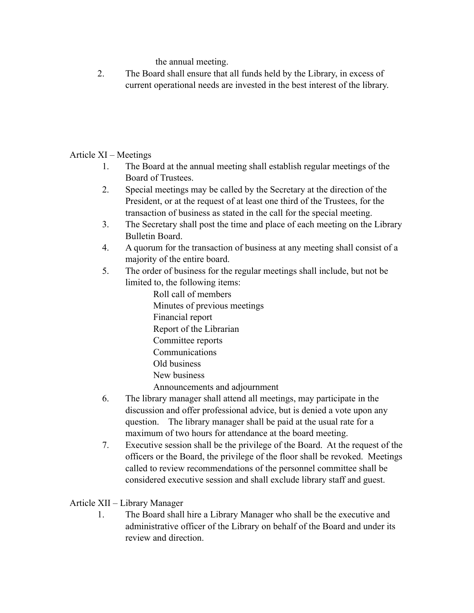the annual meeting.

2. The Board shall ensure that all funds held by the Library, in excess of current operational needs are invested in the best interest of the library.

### Article XI – Meetings

- 1. The Board at the annual meeting shall establish regular meetings of the Board of Trustees.
- 2. Special meetings may be called by the Secretary at the direction of the President, or at the request of at least one third of the Trustees, for the transaction of business as stated in the call for the special meeting.
- 3. The Secretary shall post the time and place of each meeting on the Library Bulletin Board.
- 4. A quorum for the transaction of business at any meeting shall consist of a majority of the entire board.
- 5. The order of business for the regular meetings shall include, but not be limited to, the following items:

Roll call of members Minutes of previous meetings Financial report Report of the Librarian Committee reports Communications Old business New business Announcements and adjournment

- 6. The library manager shall attend all meetings, may participate in the discussion and offer professional advice, but is denied a vote upon any question. The library manager shall be paid at the usual rate for a maximum of two hours for attendance at the board meeting.
- 7. Executive session shall be the privilege of the Board. At the request of the officers or the Board, the privilege of the floor shall be revoked. Meetings called to review recommendations of the personnel committee shall be considered executive session and shall exclude library staff and guest.

Article XII – Library Manager

1. The Board shall hire a Library Manager who shall be the executive and administrative officer of the Library on behalf of the Board and under its review and direction.